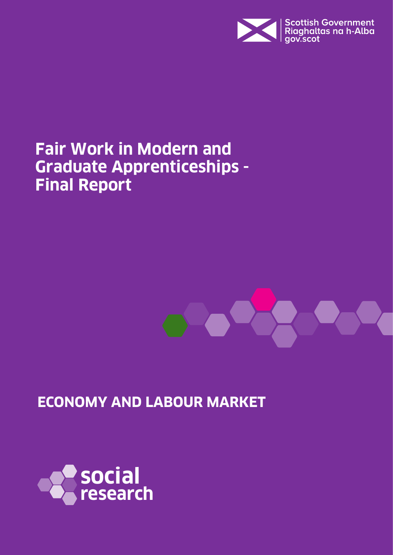

# **Fair Work in Modern and Graduate Apprenticeships - Final Report**



**ECONOMY AND LABOUR MARKET**

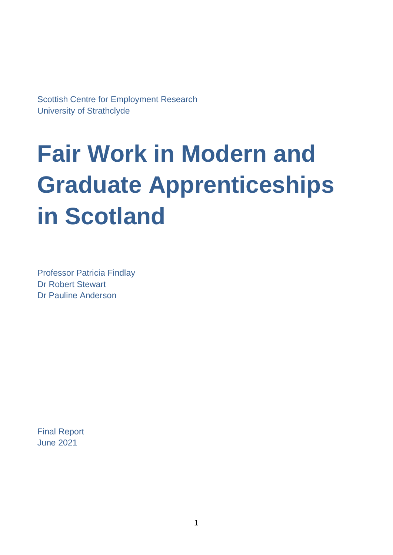Scottish Centre for Employment Research University of Strathclyde

# **Fair Work in Modern and Graduate Apprenticeships in Scotland**

Professor Patricia Findlay Dr Robert Stewart Dr Pauline Anderson

Final Report June 2021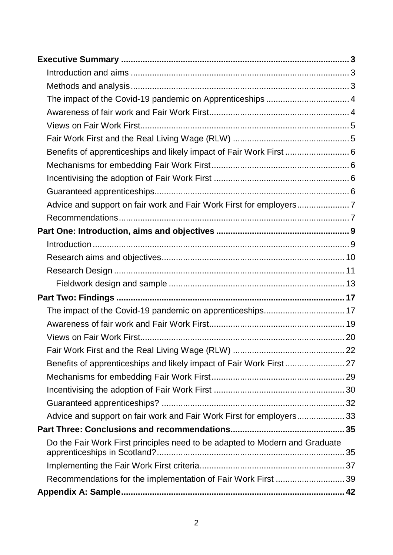| Benefits of apprenticeships and likely impact of Fair Work First  6         |  |
|-----------------------------------------------------------------------------|--|
|                                                                             |  |
|                                                                             |  |
|                                                                             |  |
|                                                                             |  |
|                                                                             |  |
|                                                                             |  |
|                                                                             |  |
|                                                                             |  |
|                                                                             |  |
|                                                                             |  |
|                                                                             |  |
|                                                                             |  |
|                                                                             |  |
|                                                                             |  |
|                                                                             |  |
|                                                                             |  |
|                                                                             |  |
|                                                                             |  |
|                                                                             |  |
| Advice and support on fair work and Fair Work First for employers 33        |  |
|                                                                             |  |
| Do the Fair Work First principles need to be adapted to Modern and Graduate |  |
|                                                                             |  |
|                                                                             |  |
| Recommendations for the implementation of Fair Work First  39               |  |
|                                                                             |  |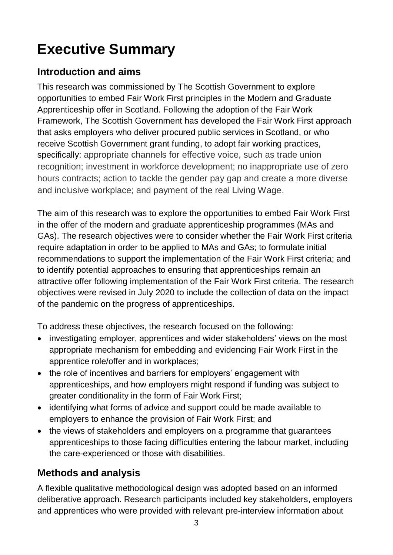# <span id="page-3-0"></span>**Executive Summary**

# <span id="page-3-1"></span>**Introduction and aims**

This research was commissioned by The Scottish Government to explore opportunities to embed Fair Work First principles in the Modern and Graduate Apprenticeship offer in Scotland. Following the adoption of the Fair Work Framework, The Scottish Government has developed the Fair Work First approach that asks employers who deliver procured public services in Scotland, or who receive Scottish Government grant funding, to adopt fair working practices, specifically: appropriate channels for effective voice, such as trade union recognition; investment in workforce development; no inappropriate use of zero hours contracts; action to tackle the gender pay gap and create a more diverse and inclusive workplace; and payment of the real Living Wage.

The aim of this research was to explore the opportunities to embed Fair Work First in the offer of the modern and graduate apprenticeship programmes (MAs and GAs). The research objectives were to consider whether the Fair Work First criteria require adaptation in order to be applied to MAs and GAs; to formulate initial recommendations to support the implementation of the Fair Work First criteria; and to identify potential approaches to ensuring that apprenticeships remain an attractive offer following implementation of the Fair Work First criteria. The research objectives were revised in July 2020 to include the collection of data on the impact of the pandemic on the progress of apprenticeships.

To address these objectives, the research focused on the following:

- investigating employer, apprentices and wider stakeholders' views on the most appropriate mechanism for embedding and evidencing Fair Work First in the apprentice role/offer and in workplaces;
- the role of incentives and barriers for employers' engagement with apprenticeships, and how employers might respond if funding was subject to greater conditionality in the form of Fair Work First;
- identifying what forms of advice and support could be made available to employers to enhance the provision of Fair Work First; and
- the views of stakeholders and employers on a programme that quarantees apprenticeships to those facing difficulties entering the labour market, including the care-experienced or those with disabilities.

# <span id="page-3-2"></span>**Methods and analysis**

A flexible qualitative methodological design was adopted based on an informed deliberative approach. Research participants included key stakeholders, employers and apprentices who were provided with relevant pre-interview information about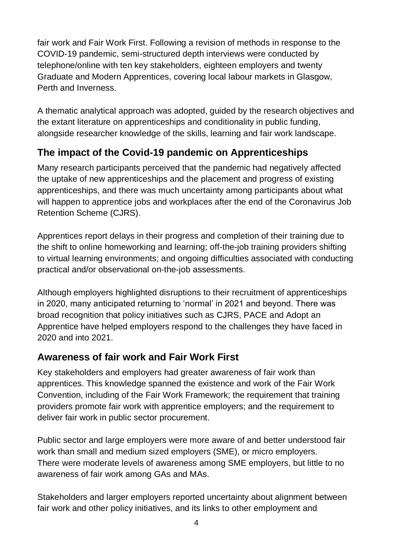fair work and Fair Work First. Following a revision of methods in response to the COVID-19 pandemic, semi-structured depth interviews were conducted by telephone/online with ten key stakeholders, eighteen employers and twenty Graduate and Modern Apprentices, covering local labour markets in Glasgow, Perth and Inverness.

A thematic analytical approach was adopted, guided by the research objectives and the extant literature on apprenticeships and conditionality in public funding, alongside researcher knowledge of the skills, learning and fair work landscape.

# <span id="page-4-0"></span>**The impact of the Covid-19 pandemic on Apprenticeships**

Many research participants perceived that the pandemic had negatively affected the uptake of new apprenticeships and the placement and progress of existing apprenticeships, and there was much uncertainty among participants about what will happen to apprentice jobs and workplaces after the end of the Coronavirus Job Retention Scheme (CJRS).

Apprentices report delays in their progress and completion of their training due to the shift to online homeworking and learning; off-the-job training providers shifting to virtual learning environments; and ongoing difficulties associated with conducting practical and/or observational on-the-job assessments.

Although employers highlighted disruptions to their recruitment of apprenticeships in 2020, many anticipated returning to 'normal' in 2021 and beyond. There was broad recognition that policy initiatives such as CJRS, PACE and Adopt an Apprentice have helped employers respond to the challenges they have faced in 2020 and into 2021.

# <span id="page-4-1"></span>**Awareness of fair work and Fair Work First**

Key stakeholders and employers had greater awareness of fair work than apprentices. This knowledge spanned the existence and work of the Fair Work Convention, including of the Fair Work Framework; the requirement that training providers promote fair work with apprentice employers; and the requirement to deliver fair work in public sector procurement.

Public sector and large employers were more aware of and better understood fair work than small and medium sized employers (SME), or micro employers. There were moderate levels of awareness among SME employers, but little to no awareness of fair work among GAs and MAs.

Stakeholders and larger employers reported uncertainty about alignment between fair work and other policy initiatives, and its links to other employment and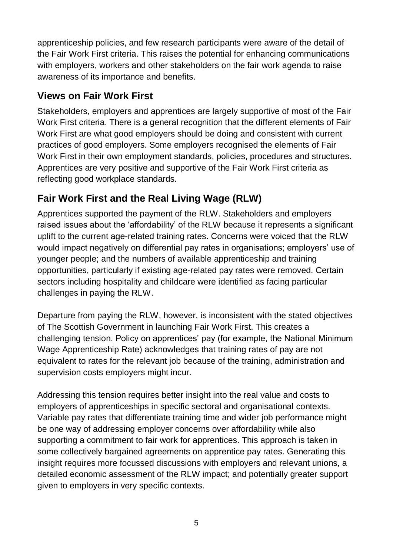apprenticeship policies, and few research participants were aware of the detail of the Fair Work First criteria. This raises the potential for enhancing communications with employers, workers and other stakeholders on the fair work agenda to raise awareness of its importance and benefits.

# <span id="page-5-0"></span>**Views on Fair Work First**

Stakeholders, employers and apprentices are largely supportive of most of the Fair Work First criteria. There is a general recognition that the different elements of Fair Work First are what good employers should be doing and consistent with current practices of good employers. Some employers recognised the elements of Fair Work First in their own employment standards, policies, procedures and structures. Apprentices are very positive and supportive of the Fair Work First criteria as reflecting good workplace standards.

# <span id="page-5-1"></span>**Fair Work First and the Real Living Wage (RLW)**

Apprentices supported the payment of the RLW. Stakeholders and employers raised issues about the 'affordability' of the RLW because it represents a significant uplift to the current age-related training rates. Concerns were voiced that the RLW would impact negatively on differential pay rates in organisations; employers' use of younger people; and the numbers of available apprenticeship and training opportunities, particularly if existing age-related pay rates were removed. Certain sectors including hospitality and childcare were identified as facing particular challenges in paying the RLW.

Departure from paying the RLW, however, is inconsistent with the stated objectives of The Scottish Government in launching Fair Work First. This creates a challenging tension. Policy on apprentices' pay (for example, the National Minimum Wage Apprenticeship Rate) acknowledges that training rates of pay are not equivalent to rates for the relevant job because of the training, administration and supervision costs employers might incur.

Addressing this tension requires better insight into the real value and costs to employers of apprenticeships in specific sectoral and organisational contexts. Variable pay rates that differentiate training time and wider job performance might be one way of addressing employer concerns over affordability while also supporting a commitment to fair work for apprentices. This approach is taken in some collectively bargained agreements on apprentice pay rates. Generating this insight requires more focussed discussions with employers and relevant unions, a detailed economic assessment of the RLW impact; and potentially greater support given to employers in very specific contexts.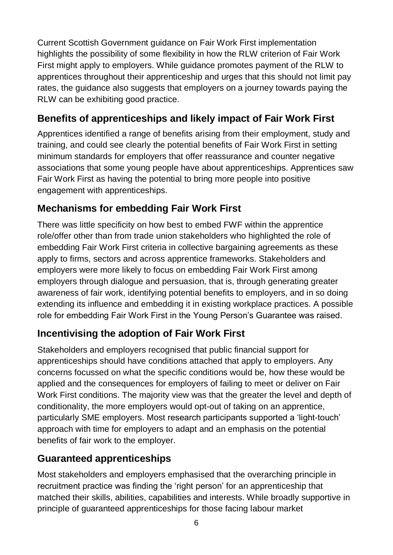Current Scottish Government guidance on Fair Work First implementation highlights the possibility of some flexibility in how the RLW criterion of Fair Work First might apply to employers. While guidance promotes payment of the RLW to apprentices throughout their apprenticeship and urges that this should not limit pay rates, the guidance also suggests that employers on a journey towards paying the RLW can be exhibiting good practice.

# <span id="page-6-0"></span>**Benefits of apprenticeships and likely impact of Fair Work First**

Apprentices identified a range of benefits arising from their employment, study and training, and could see clearly the potential benefits of Fair Work First in setting minimum standards for employers that offer reassurance and counter negative associations that some young people have about apprenticeships. Apprentices saw Fair Work First as having the potential to bring more people into positive engagement with apprenticeships.

# <span id="page-6-1"></span>**Mechanisms for embedding Fair Work First**

There was little specificity on how best to embed FWF within the apprentice role/offer other than from trade union stakeholders who highlighted the role of embedding Fair Work First criteria in collective bargaining agreements as these apply to firms, sectors and across apprentice frameworks. Stakeholders and employers were more likely to focus on embedding Fair Work First among employers through dialogue and persuasion, that is, through generating greater awareness of fair work, identifying potential benefits to employers, and in so doing extending its influence and embedding it in existing workplace practices. A possible role for embedding Fair Work First in the Young Person's Guarantee was raised.

# <span id="page-6-2"></span>**Incentivising the adoption of Fair Work First**

Stakeholders and employers recognised that public financial support for apprenticeships should have conditions attached that apply to employers. Any concerns focussed on what the specific conditions would be, how these would be applied and the consequences for employers of failing to meet or deliver on Fair Work First conditions. The majority view was that the greater the level and depth of conditionality, the more employers would opt-out of taking on an apprentice, particularly SME employers. Most research participants supported a 'light-touch' approach with time for employers to adapt and an emphasis on the potential benefits of fair work to the employer.

# <span id="page-6-3"></span>**Guaranteed apprenticeships**

Most stakeholders and employers emphasised that the overarching principle in recruitment practice was finding the 'right person' for an apprenticeship that matched their skills, abilities, capabilities and interests. While broadly supportive in principle of guaranteed apprenticeships for those facing labour market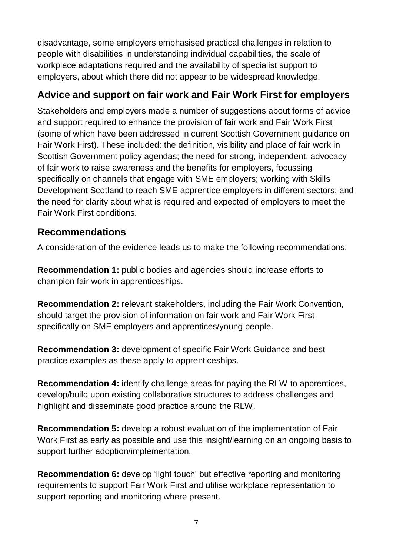disadvantage, some employers emphasised practical challenges in relation to people with disabilities in understanding individual capabilities, the scale of workplace adaptations required and the availability of specialist support to employers, about which there did not appear to be widespread knowledge.

# <span id="page-7-0"></span>**Advice and support on fair work and Fair Work First for employers**

Stakeholders and employers made a number of suggestions about forms of advice and support required to enhance the provision of fair work and Fair Work First (some of which have been addressed in current Scottish Government guidance on Fair Work First). These included: the definition, visibility and place of fair work in Scottish Government policy agendas; the need for strong, independent, advocacy of fair work to raise awareness and the benefits for employers, focussing specifically on channels that engage with SME employers; working with Skills Development Scotland to reach SME apprentice employers in different sectors; and the need for clarity about what is required and expected of employers to meet the Fair Work First conditions.

#### <span id="page-7-1"></span>**Recommendations**

A consideration of the evidence leads us to make the following recommendations:

**Recommendation 1:** public bodies and agencies should increase efforts to champion fair work in apprenticeships.

**Recommendation 2:** relevant stakeholders, including the Fair Work Convention, should target the provision of information on fair work and Fair Work First specifically on SME employers and apprentices/young people.

**Recommendation 3:** development of specific Fair Work Guidance and best practice examples as these apply to apprenticeships.

**Recommendation 4:** identify challenge areas for paying the RLW to apprentices, develop/build upon existing collaborative structures to address challenges and highlight and disseminate good practice around the RLW.

**Recommendation 5:** develop a robust evaluation of the implementation of Fair Work First as early as possible and use this insight/learning on an ongoing basis to support further adoption/implementation.

**Recommendation 6:** develop 'light touch' but effective reporting and monitoring requirements to support Fair Work First and utilise workplace representation to support reporting and monitoring where present.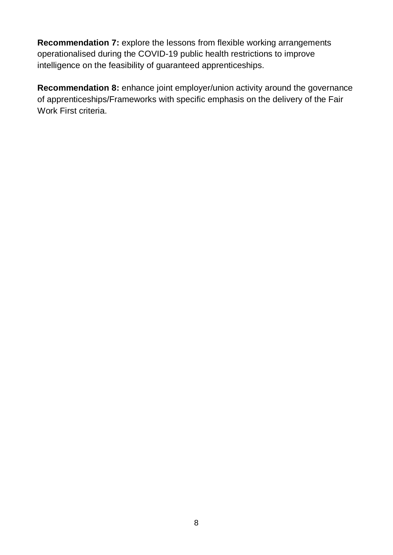**Recommendation 7:** explore the lessons from flexible working arrangements operationalised during the COVID-19 public health restrictions to improve intelligence on the feasibility of guaranteed apprenticeships.

**Recommendation 8:** enhance joint employer/union activity around the governance of apprenticeships/Frameworks with specific emphasis on the delivery of the Fair Work First criteria.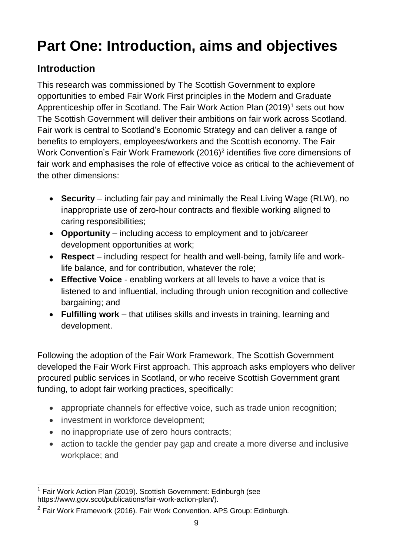# <span id="page-9-0"></span>**Part One: Introduction, aims and objectives**

# <span id="page-9-1"></span>**Introduction**

This research was commissioned by The Scottish Government to explore opportunities to embed Fair Work First principles in the Modern and Graduate Apprenticeship offer in Scotland. The Fair Work Action Plan  $(2019)^1$  sets out how The Scottish Government will deliver their ambitions on fair work across Scotland. Fair work is central to Scotland's Economic Strategy and can deliver a range of benefits to employers, employees/workers and the Scottish economy. The Fair Work Convention's Fair Work Framework (2016)<sup>2</sup> identifies five core dimensions of fair work and emphasises the role of effective voice as critical to the achievement of the other dimensions:

- **Security** including fair pay and minimally the Real Living Wage (RLW), no inappropriate use of zero-hour contracts and flexible working aligned to caring responsibilities;
- **Opportunity** including access to employment and to job/career development opportunities at work;
- **Respect** including respect for health and well-being, family life and worklife balance, and for contribution, whatever the role;
- **Effective Voice** enabling workers at all levels to have a voice that is listened to and influential, including through union recognition and collective bargaining; and
- **Fulfilling work**  that utilises skills and invests in training, learning and development.

Following the adoption of the Fair Work Framework, The Scottish Government developed the Fair Work First approach. This approach asks employers who deliver procured public services in Scotland, or who receive Scottish Government grant funding, to adopt fair working practices, specifically:

- appropriate channels for effective voice, such as trade union recognition;
- investment in workforce development;
- no inappropriate use of zero hours contracts;
- action to tackle the gender pay gap and create a more diverse and inclusive workplace; and

 $\overline{\phantom{a}}$  $1$  Fair Work Action Plan (2019). Scottish Government: Edinburgh (see https://www.gov.scot/publications/fair-work-action-plan/).

<sup>2</sup> Fair Work Framework (2016). Fair Work Convention. APS Group: Edinburgh.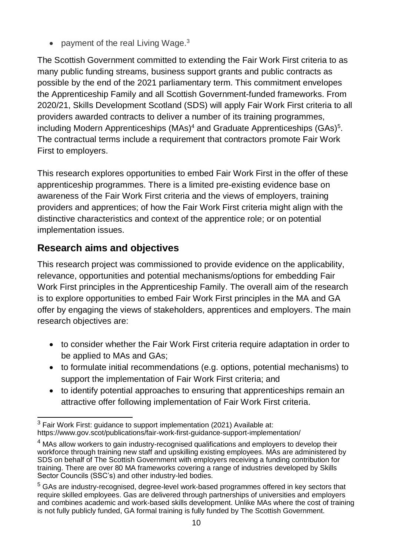• payment of the real Living Wage.<sup>3</sup>

The Scottish Government committed to extending the Fair Work First criteria to as many public funding streams, business support grants and public contracts as possible by the end of the 2021 parliamentary term. This commitment envelopes the Apprenticeship Family and all Scottish Government-funded frameworks. From 2020/21, Skills Development Scotland (SDS) will apply Fair Work First criteria to all providers awarded contracts to deliver a number of its training programmes, including Modern Apprenticeships (MAs)<sup>4</sup> and Graduate Apprenticeships (GAs)<sup>5</sup>. The contractual terms include a requirement that contractors promote Fair Work First to employers.

This research explores opportunities to embed Fair Work First in the offer of these apprenticeship programmes. There is a limited pre-existing evidence base on awareness of the Fair Work First criteria and the views of employers, training providers and apprentices; of how the Fair Work First criteria might align with the distinctive characteristics and context of the apprentice role; or on potential implementation issues.

# <span id="page-10-0"></span>**Research aims and objectives**

This research project was commissioned to provide evidence on the applicability, relevance, opportunities and potential mechanisms/options for embedding Fair Work First principles in the Apprenticeship Family. The overall aim of the research is to explore opportunities to embed Fair Work First principles in the MA and GA offer by engaging the views of stakeholders, apprentices and employers. The main research objectives are:

- to consider whether the Fair Work First criteria require adaptation in order to be applied to MAs and GAs;
- to formulate initial recommendations (e.g. options, potential mechanisms) to support the implementation of Fair Work First criteria; and
- to identify potential approaches to ensuring that apprenticeships remain an attractive offer following implementation of Fair Work First criteria.

 $\overline{a}$  $3$  Fair Work First: guidance to support implementation (2021) Available at: https://www.gov.scot/publications/fair-work-first-guidance-support-implementation/

<sup>&</sup>lt;sup>4</sup> MAs allow workers to gain industry-recognised qualifications and employers to develop their workforce through training new staff and upskilling existing employees. MAs are administered by SDS on behalf of The Scottish Government with employers receiving a funding contribution for training. There are over 80 MA frameworks covering a range of industries developed by Skills Sector Councils (SSC's) and other industry-led bodies.

 $5$  GAs are industry-recognised, degree-level work-based programmes offered in key sectors that require skilled employees. Gas are delivered through partnerships of universities and employers and combines academic and work-based skills development. Unlike MAs where the cost of training is not fully publicly funded, GA formal training is fully funded by The Scottish Government.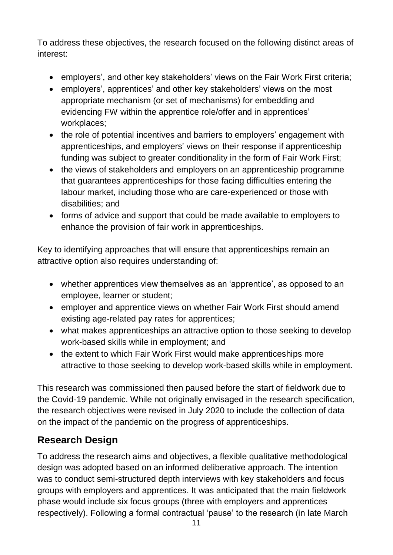To address these objectives, the research focused on the following distinct areas of interest:

- employers', and other key stakeholders' views on the Fair Work First criteria;
- employers', apprentices' and other key stakeholders' views on the most appropriate mechanism (or set of mechanisms) for embedding and evidencing FW within the apprentice role/offer and in apprentices' workplaces;
- the role of potential incentives and barriers to employers' engagement with apprenticeships, and employers' views on their response if apprenticeship funding was subject to greater conditionality in the form of Fair Work First;
- the views of stakeholders and employers on an apprenticeship programme that guarantees apprenticeships for those facing difficulties entering the labour market, including those who are care-experienced or those with disabilities; and
- forms of advice and support that could be made available to employers to enhance the provision of fair work in apprenticeships.

Key to identifying approaches that will ensure that apprenticeships remain an attractive option also requires understanding of:

- whether apprentices view themselves as an 'apprentice', as opposed to an employee, learner or student;
- employer and apprentice views on whether Fair Work First should amend existing age-related pay rates for apprentices;
- what makes apprenticeships an attractive option to those seeking to develop work-based skills while in employment; and
- the extent to which Fair Work First would make apprenticeships more attractive to those seeking to develop work-based skills while in employment.

This research was commissioned then paused before the start of fieldwork due to the Covid-19 pandemic. While not originally envisaged in the research specification, the research objectives were revised in July 2020 to include the collection of data on the impact of the pandemic on the progress of apprenticeships.

# <span id="page-11-0"></span>**Research Design**

To address the research aims and objectives, a flexible qualitative methodological design was adopted based on an informed deliberative approach. The intention was to conduct semi-structured depth interviews with key stakeholders and focus groups with employers and apprentices. It was anticipated that the main fieldwork phase would include six focus groups (three with employers and apprentices respectively). Following a formal contractual 'pause' to the research (in late March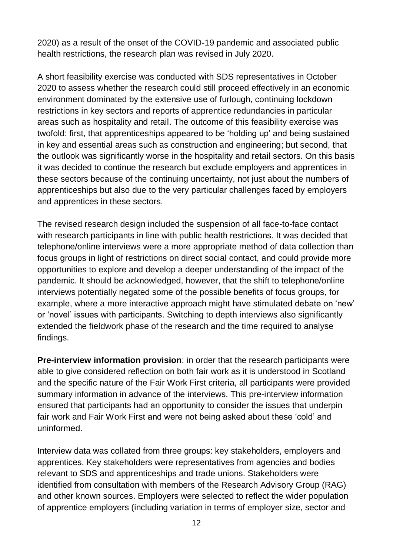2020) as a result of the onset of the COVID-19 pandemic and associated public health restrictions, the research plan was revised in July 2020.

A short feasibility exercise was conducted with SDS representatives in October 2020 to assess whether the research could still proceed effectively in an economic environment dominated by the extensive use of furlough, continuing lockdown restrictions in key sectors and reports of apprentice redundancies in particular areas such as hospitality and retail. The outcome of this feasibility exercise was twofold: first, that apprenticeships appeared to be 'holding up' and being sustained in key and essential areas such as construction and engineering; but second, that the outlook was significantly worse in the hospitality and retail sectors. On this basis it was decided to continue the research but exclude employers and apprentices in these sectors because of the continuing uncertainty, not just about the numbers of apprenticeships but also due to the very particular challenges faced by employers and apprentices in these sectors.

The revised research design included the suspension of all face-to-face contact with research participants in line with public health restrictions. It was decided that telephone/online interviews were a more appropriate method of data collection than focus groups in light of restrictions on direct social contact, and could provide more opportunities to explore and develop a deeper understanding of the impact of the pandemic. It should be acknowledged, however, that the shift to telephone/online interviews potentially negated some of the possible benefits of focus groups, for example, where a more interactive approach might have stimulated debate on 'new' or 'novel' issues with participants. Switching to depth interviews also significantly extended the fieldwork phase of the research and the time required to analyse findings.

**Pre-interview information provision**: in order that the research participants were able to give considered reflection on both fair work as it is understood in Scotland and the specific nature of the Fair Work First criteria, all participants were provided summary information in advance of the interviews. This pre-interview information ensured that participants had an opportunity to consider the issues that underpin fair work and Fair Work First and were not being asked about these 'cold' and uninformed.

Interview data was collated from three groups: key stakeholders, employers and apprentices. Key stakeholders were representatives from agencies and bodies relevant to SDS and apprenticeships and trade unions. Stakeholders were identified from consultation with members of the Research Advisory Group (RAG) and other known sources. Employers were selected to reflect the wider population of apprentice employers (including variation in terms of employer size, sector and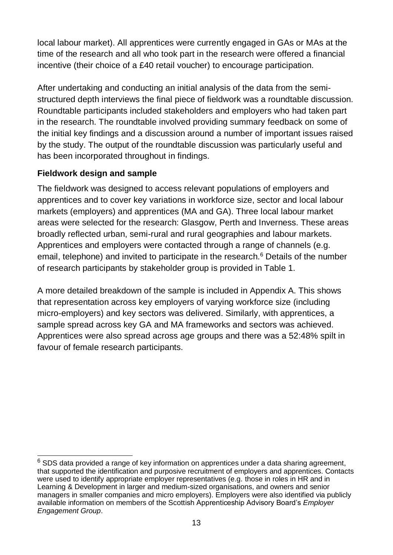local labour market). All apprentices were currently engaged in GAs or MAs at the time of the research and all who took part in the research were offered a financial incentive (their choice of a £40 retail voucher) to encourage participation.

After undertaking and conducting an initial analysis of the data from the semistructured depth interviews the final piece of fieldwork was a roundtable discussion. Roundtable participants included stakeholders and employers who had taken part in the research. The roundtable involved providing summary feedback on some of the initial key findings and a discussion around a number of important issues raised by the study. The output of the roundtable discussion was particularly useful and has been incorporated throughout in findings.

#### <span id="page-13-0"></span>**Fieldwork design and sample**

The fieldwork was designed to access relevant populations of employers and apprentices and to cover key variations in workforce size, sector and local labour markets (employers) and apprentices (MA and GA). Three local labour market areas were selected for the research: Glasgow, Perth and Inverness. These areas broadly reflected urban, semi-rural and rural geographies and labour markets. Apprentices and employers were contacted through a range of channels (e.g. email, telephone) and invited to participate in the research.<sup>6</sup> Details of the number of research participants by stakeholder group is provided in Table 1.

A more detailed breakdown of the sample is included in Appendix A. This shows that representation across key employers of varying workforce size (including micro-employers) and key sectors was delivered. Similarly, with apprentices, a sample spread across key GA and MA frameworks and sectors was achieved. Apprentices were also spread across age groups and there was a 52:48% spilt in favour of female research participants.

 $\overline{a}$  $6$  SDS data provided a range of key information on apprentices under a data sharing agreement, that supported the identification and purposive recruitment of employers and apprentices. Contacts were used to identify appropriate employer representatives (e.g. those in roles in HR and in Learning & Development in larger and medium-sized organisations, and owners and senior managers in smaller companies and micro employers). Employers were also identified via publicly available information on members of the Scottish Apprenticeship Advisory Board's *Employer Engagement Group*.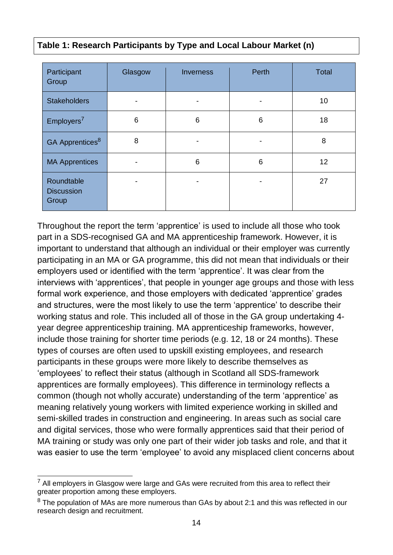| Table 1: Research Participants by Type and Local Labour Market (n) |  |  |  |
|--------------------------------------------------------------------|--|--|--|
|                                                                    |  |  |  |

| Participant<br>Group                     | Glasgow | Inverness | Perth | <b>Total</b> |
|------------------------------------------|---------|-----------|-------|--------------|
| <b>Stakeholders</b>                      |         |           |       | 10           |
| Emplovers <sup>7</sup>                   | 6       | 6         | 6     | 18           |
| GA Apprentices <sup>8</sup>              | 8       |           |       | 8            |
| <b>MA Apprentices</b>                    | -       | 6         | 6     | 12           |
| Roundtable<br><b>Discussion</b><br>Group |         |           |       | 27           |

Throughout the report the term 'apprentice' is used to include all those who took part in a SDS-recognised GA and MA apprenticeship framework. However, it is important to understand that although an individual or their employer was currently participating in an MA or GA programme, this did not mean that individuals or their employers used or identified with the term 'apprentice'. It was clear from the interviews with 'apprentices', that people in younger age groups and those with less formal work experience, and those employers with dedicated 'apprentice' grades and structures, were the most likely to use the term 'apprentice' to describe their working status and role. This included all of those in the GA group undertaking 4 year degree apprenticeship training. MA apprenticeship frameworks, however, include those training for shorter time periods (e.g. 12, 18 or 24 months). These types of courses are often used to upskill existing employees, and research participants in these groups were more likely to describe themselves as 'employees' to reflect their status (although in Scotland all SDS-framework apprentices are formally employees). This difference in terminology reflects a common (though not wholly accurate) understanding of the term 'apprentice' as meaning relatively young workers with limited experience working in skilled and semi-skilled trades in construction and engineering. In areas such as social care and digital services, those who were formally apprentices said that their period of MA training or study was only one part of their wider job tasks and role, and that it was easier to use the term 'employee' to avoid any misplaced client concerns about

 $\overline{a}$  $<sup>7</sup>$  All employers in Glasgow were large and GAs were recruited from this area to reflect their</sup> greater proportion among these employers.

 $8$  The population of MAs are more numerous than GAs by about 2:1 and this was reflected in our research design and recruitment.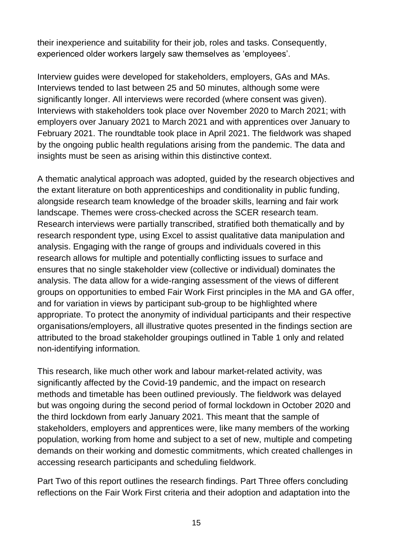their inexperience and suitability for their job, roles and tasks. Consequently, experienced older workers largely saw themselves as 'employees'.

Interview guides were developed for stakeholders, employers, GAs and MAs. Interviews tended to last between 25 and 50 minutes, although some were significantly longer. All interviews were recorded (where consent was given). Interviews with stakeholders took place over November 2020 to March 2021; with employers over January 2021 to March 2021 and with apprentices over January to February 2021. The roundtable took place in April 2021. The fieldwork was shaped by the ongoing public health regulations arising from the pandemic. The data and insights must be seen as arising within this distinctive context.

A thematic analytical approach was adopted, guided by the research objectives and the extant literature on both apprenticeships and conditionality in public funding, alongside research team knowledge of the broader skills, learning and fair work landscape. Themes were cross-checked across the SCER research team. Research interviews were partially transcribed, stratified both thematically and by research respondent type, using Excel to assist qualitative data manipulation and analysis. Engaging with the range of groups and individuals covered in this research allows for multiple and potentially conflicting issues to surface and ensures that no single stakeholder view (collective or individual) dominates the analysis. The data allow for a wide-ranging assessment of the views of different groups on opportunities to embed Fair Work First principles in the MA and GA offer, and for variation in views by participant sub-group to be highlighted where appropriate. To protect the anonymity of individual participants and their respective organisations/employers, all illustrative quotes presented in the findings section are attributed to the broad stakeholder groupings outlined in Table 1 only and related non-identifying information.

This research, like much other work and labour market-related activity, was significantly affected by the Covid-19 pandemic, and the impact on research methods and timetable has been outlined previously. The fieldwork was delayed but was ongoing during the second period of formal lockdown in October 2020 and the third lockdown from early January 2021. This meant that the sample of stakeholders, employers and apprentices were, like many members of the working population, working from home and subject to a set of new, multiple and competing demands on their working and domestic commitments, which created challenges in accessing research participants and scheduling fieldwork.

Part Two of this report outlines the research findings. Part Three offers concluding reflections on the Fair Work First criteria and their adoption and adaptation into the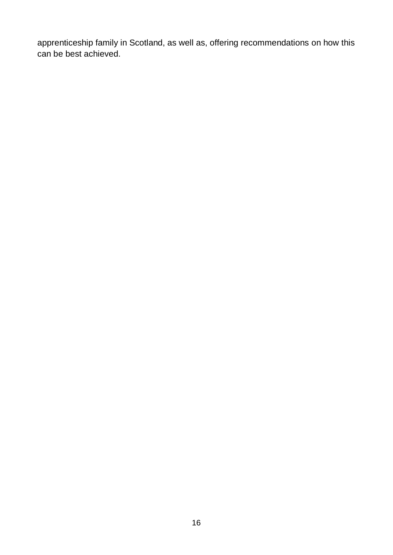apprenticeship family in Scotland, as well as, offering recommendations on how this can be best achieved.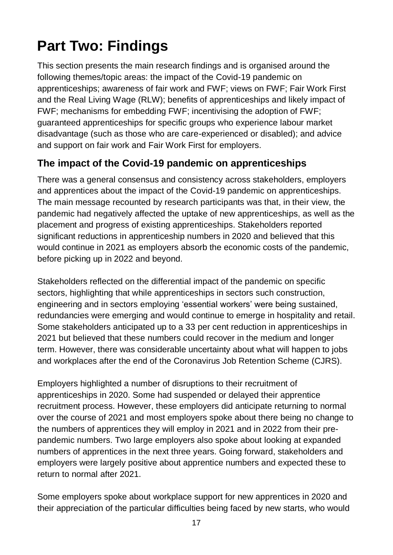# <span id="page-17-0"></span>**Part Two: Findings**

This section presents the main research findings and is organised around the following themes/topic areas: the impact of the Covid-19 pandemic on apprenticeships; awareness of fair work and FWF; views on FWF; Fair Work First and the Real Living Wage (RLW); benefits of apprenticeships and likely impact of FWF; mechanisms for embedding FWF; incentivising the adoption of FWF; guaranteed apprenticeships for specific groups who experience labour market disadvantage (such as those who are care-experienced or disabled); and advice and support on fair work and Fair Work First for employers.

# <span id="page-17-1"></span>**The impact of the Covid-19 pandemic on apprenticeships**

There was a general consensus and consistency across stakeholders, employers and apprentices about the impact of the Covid-19 pandemic on apprenticeships. The main message recounted by research participants was that, in their view, the pandemic had negatively affected the uptake of new apprenticeships, as well as the placement and progress of existing apprenticeships. Stakeholders reported significant reductions in apprenticeship numbers in 2020 and believed that this would continue in 2021 as employers absorb the economic costs of the pandemic, before picking up in 2022 and beyond.

Stakeholders reflected on the differential impact of the pandemic on specific sectors, highlighting that while apprenticeships in sectors such construction, engineering and in sectors employing 'essential workers' were being sustained, redundancies were emerging and would continue to emerge in hospitality and retail. Some stakeholders anticipated up to a 33 per cent reduction in apprenticeships in 2021 but believed that these numbers could recover in the medium and longer term. However, there was considerable uncertainty about what will happen to jobs and workplaces after the end of the Coronavirus Job Retention Scheme (CJRS).

Employers highlighted a number of disruptions to their recruitment of apprenticeships in 2020. Some had suspended or delayed their apprentice recruitment process. However, these employers did anticipate returning to normal over the course of 2021 and most employers spoke about there being no change to the numbers of apprentices they will employ in 2021 and in 2022 from their prepandemic numbers. Two large employers also spoke about looking at expanded numbers of apprentices in the next three years. Going forward, stakeholders and employers were largely positive about apprentice numbers and expected these to return to normal after 2021.

Some employers spoke about workplace support for new apprentices in 2020 and their appreciation of the particular difficulties being faced by new starts, who would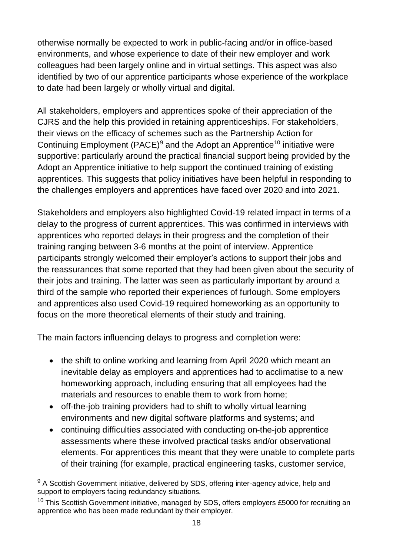otherwise normally be expected to work in public-facing and/or in office-based environments, and whose experience to date of their new employer and work colleagues had been largely online and in virtual settings. This aspect was also identified by two of our apprentice participants whose experience of the workplace to date had been largely or wholly virtual and digital.

All stakeholders, employers and apprentices spoke of their appreciation of the CJRS and the help this provided in retaining apprenticeships. For stakeholders, their views on the efficacy of schemes such as the Partnership Action for Continuing Employment (PACE)<sup>9</sup> and the Adopt an Apprentice<sup>10</sup> initiative were supportive: particularly around the practical financial support being provided by the Adopt an Apprentice initiative to help support the continued training of existing apprentices. This suggests that policy initiatives have been helpful in responding to the challenges employers and apprentices have faced over 2020 and into 2021.

Stakeholders and employers also highlighted Covid-19 related impact in terms of a delay to the progress of current apprentices. This was confirmed in interviews with apprentices who reported delays in their progress and the completion of their training ranging between 3-6 months at the point of interview. Apprentice participants strongly welcomed their employer's actions to support their jobs and the reassurances that some reported that they had been given about the security of their jobs and training. The latter was seen as particularly important by around a third of the sample who reported their experiences of furlough. Some employers and apprentices also used Covid-19 required homeworking as an opportunity to focus on the more theoretical elements of their study and training.

The main factors influencing delays to progress and completion were:

- the shift to online working and learning from April 2020 which meant an inevitable delay as employers and apprentices had to acclimatise to a new homeworking approach, including ensuring that all employees had the materials and resources to enable them to work from home;
- off-the-job training providers had to shift to wholly virtual learning environments and new digital software platforms and systems; and
- continuing difficulties associated with conducting on-the-job apprentice assessments where these involved practical tasks and/or observational elements. For apprentices this meant that they were unable to complete parts of their training (for example, practical engineering tasks, customer service,

 $\overline{a}$  $9$  A Scottish Government initiative, delivered by SDS, offering inter-agency advice, help and support to employers facing redundancy situations.

<sup>&</sup>lt;sup>10</sup> This Scottish Government initiative, managed by SDS, offers employers £5000 for recruiting an apprentice who has been made redundant by their employer.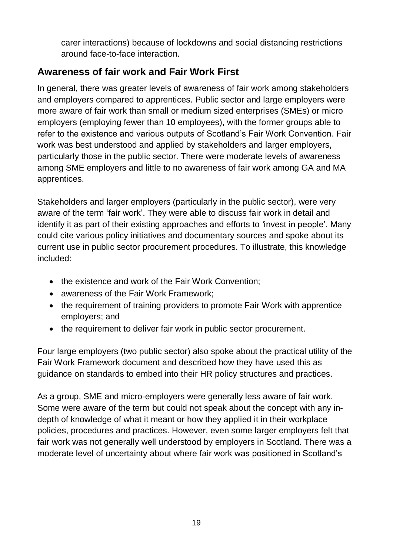carer interactions) because of lockdowns and social distancing restrictions around face-to-face interaction.

# <span id="page-19-0"></span>**Awareness of fair work and Fair Work First**

In general, there was greater levels of awareness of fair work among stakeholders and employers compared to apprentices. Public sector and large employers were more aware of fair work than small or medium sized enterprises (SMEs) or micro employers (employing fewer than 10 employees), with the former groups able to refer to the existence and various outputs of Scotland's Fair Work Convention. Fair work was best understood and applied by stakeholders and larger employers, particularly those in the public sector. There were moderate levels of awareness among SME employers and little to no awareness of fair work among GA and MA apprentices.

Stakeholders and larger employers (particularly in the public sector), were very aware of the term 'fair work'. They were able to discuss fair work in detail and identify it as part of their existing approaches and efforts to *'*invest in people'*.* Many could cite various policy initiatives and documentary sources and spoke about its current use in public sector procurement procedures. To illustrate, this knowledge included:

- the existence and work of the Fair Work Convention;
- awareness of the Fair Work Framework;
- the requirement of training providers to promote Fair Work with apprentice employers; and
- the requirement to deliver fair work in public sector procurement.

Four large employers (two public sector) also spoke about the practical utility of the Fair Work Framework document and described how they have used this as guidance on standards to embed into their HR policy structures and practices.

As a group, SME and micro-employers were generally less aware of fair work. Some were aware of the term but could not speak about the concept with any indepth of knowledge of what it meant or how they applied it in their workplace policies, procedures and practices. However, even some larger employers felt that fair work was not generally well understood by employers in Scotland. There was a moderate level of uncertainty about where fair work was positioned in Scotland's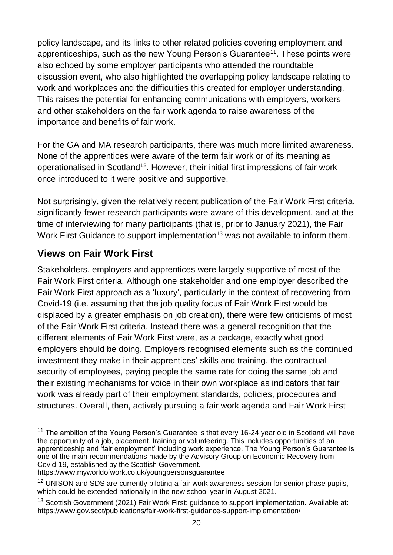policy landscape, and its links to other related policies covering employment and apprenticeships, such as the new Young Person's Guarantee<sup>11</sup>. These points were also echoed by some employer participants who attended the roundtable discussion event, who also highlighted the overlapping policy landscape relating to work and workplaces and the difficulties this created for employer understanding. This raises the potential for enhancing communications with employers, workers and other stakeholders on the fair work agenda to raise awareness of the importance and benefits of fair work.

For the GA and MA research participants, there was much more limited awareness. None of the apprentices were aware of the term fair work or of its meaning as operationalised in Scotland<sup>12</sup>. However, their initial first impressions of fair work once introduced to it were positive and supportive.

Not surprisingly, given the relatively recent publication of the Fair Work First criteria, significantly fewer research participants were aware of this development, and at the time of interviewing for many participants (that is, prior to January 2021), the Fair Work First Guidance to support implementation<sup>13</sup> was not available to inform them.

# <span id="page-20-0"></span>**Views on Fair Work First**

Stakeholders, employers and apprentices were largely supportive of most of the Fair Work First criteria. Although one stakeholder and one employer described the Fair Work First approach as a 'luxury', particularly in the context of recovering from Covid-19 (i.e. assuming that the job quality focus of Fair Work First would be displaced by a greater emphasis on job creation), there were few criticisms of most of the Fair Work First criteria. Instead there was a general recognition that the different elements of Fair Work First were, as a package, exactly what good employers should be doing. Employers recognised elements such as the continued investment they make in their apprentices' skills and training, the contractual security of employees, paying people the same rate for doing the same job and their existing mechanisms for voice in their own workplace as indicators that fair work was already part of their employment standards, policies, procedures and structures. Overall, then, actively pursuing a fair work agenda and Fair Work First

 $\overline{\phantom{a}}$  $11$  The ambition of the Young Person's Guarantee is that every 16-24 year old in Scotland will have the opportunity of a job, placement, training or volunteering. This includes opportunities of an apprenticeship and 'fair employment' including work experience. The Young Person's Guarantee is one of the main recommendations made by the Advisory Group on Economic Recovery from Covid-19, established by the Scottish Government.

https://www.myworldofwork.co.uk/youngpersonsguarantee

<sup>&</sup>lt;sup>12</sup> UNISON and SDS are currently piloting a fair work awareness session for senior phase pupils, which could be extended nationally in the new school year in August 2021.

<sup>&</sup>lt;sup>13</sup> Scottish Government (2021) Fair Work First: guidance to support implementation. Available at: https://www.gov.scot/publications/fair-work-first-guidance-support-implementation/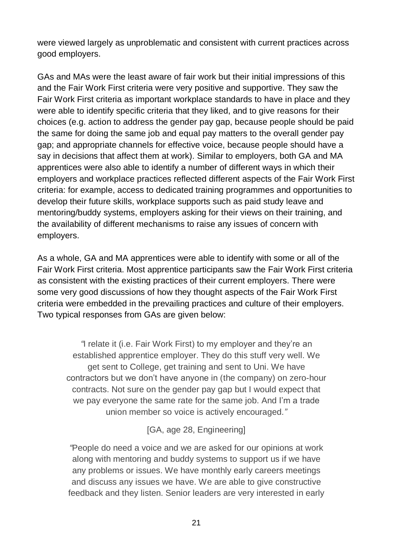were viewed largely as unproblematic and consistent with current practices across good employers.

GAs and MAs were the least aware of fair work but their initial impressions of this and the Fair Work First criteria were very positive and supportive. They saw the Fair Work First criteria as important workplace standards to have in place and they were able to identify specific criteria that they liked, and to give reasons for their choices (e.g. action to address the gender pay gap, because people should be paid the same for doing the same job and equal pay matters to the overall gender pay gap; and appropriate channels for effective voice, because people should have a say in decisions that affect them at work). Similar to employers, both GA and MA apprentices were also able to identify a number of different ways in which their employers and workplace practices reflected different aspects of the Fair Work First criteria: for example, access to dedicated training programmes and opportunities to develop their future skills, workplace supports such as paid study leave and mentoring/buddy systems, employers asking for their views on their training, and the availability of different mechanisms to raise any issues of concern with employers.

As a whole, GA and MA apprentices were able to identify with some or all of the Fair Work First criteria. Most apprentice participants saw the Fair Work First criteria as consistent with the existing practices of their current employers. There were some very good discussions of how they thought aspects of the Fair Work First criteria were embedded in the prevailing practices and culture of their employers. Two typical responses from GAs are given below:

*"*I relate it (i.e. Fair Work First) to my employer and they're an established apprentice employer. They do this stuff very well. We get sent to College, get training and sent to Uni. We have contractors but we don't have anyone in (the company) on zero-hour contracts. Not sure on the gender pay gap but I would expect that we pay everyone the same rate for the same job. And I'm a trade union member so voice is actively encouraged*."*

[GA, age 28, Engineering]

*"*People do need a voice and we are asked for our opinions at work along with mentoring and buddy systems to support us if we have any problems or issues. We have monthly early careers meetings and discuss any issues we have. We are able to give constructive feedback and they listen. Senior leaders are very interested in early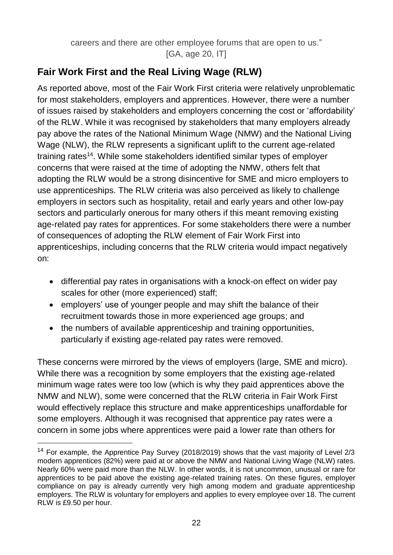careers and there are other employee forums that are open to us." [GA, age 20, IT]

# <span id="page-22-0"></span>**Fair Work First and the Real Living Wage (RLW)**

As reported above, most of the Fair Work First criteria were relatively unproblematic for most stakeholders, employers and apprentices. However, there were a number of issues raised by stakeholders and employers concerning the cost or 'affordability' of the RLW. While it was recognised by stakeholders that many employers already pay above the rates of the National Minimum Wage (NMW) and the National Living Wage (NLW), the RLW represents a significant uplift to the current age-related training rates<sup>14</sup>. While some stakeholders identified similar types of employer concerns that were raised at the time of adopting the NMW, others felt that adopting the RLW would be a strong disincentive for SME and micro employers to use apprenticeships. The RLW criteria was also perceived as likely to challenge employers in sectors such as hospitality, retail and early years and other low-pay sectors and particularly onerous for many others if this meant removing existing age-related pay rates for apprentices. For some stakeholders there were a number of consequences of adopting the RLW element of Fair Work First into apprenticeships, including concerns that the RLW criteria would impact negatively on:

- differential pay rates in organisations with a knock-on effect on wider pay scales for other (more experienced) staff;
- employers' use of younger people and may shift the balance of their recruitment towards those in more experienced age groups; and
- the numbers of available apprenticeship and training opportunities, particularly if existing age-related pay rates were removed.

These concerns were mirrored by the views of employers (large, SME and micro). While there was a recognition by some employers that the existing age-related minimum wage rates were too low (which is why they paid apprentices above the NMW and NLW), some were concerned that the RLW criteria in Fair Work First would effectively replace this structure and make apprenticeships unaffordable for some employers. Although it was recognised that apprentice pay rates were a concern in some jobs where apprentices were paid a lower rate than others for

<sup>&</sup>lt;sup>14</sup> For example, the Apprentice Pay Survey (2018/2019) shows that the vast majority of Level  $2/3$ modern apprentices (82%) were paid at or above the NMW and National Living Wage (NLW) rates. Nearly 60% were paid more than the NLW. In other words, it is not uncommon, unusual or rare for apprentices to be paid above the existing age-related training rates. On these figures, employer compliance on pay is already currently very high among modern and graduate apprenticeship employers. The RLW is voluntary for employers and applies to every employee over 18. The current RLW is £9.50 per hour.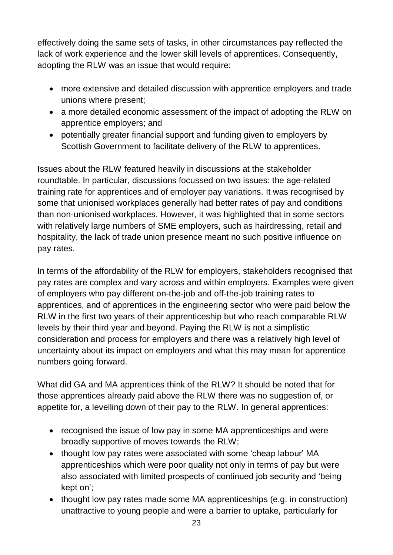effectively doing the same sets of tasks, in other circumstances pay reflected the lack of work experience and the lower skill levels of apprentices. Consequently, adopting the RLW was an issue that would require:

- more extensive and detailed discussion with apprentice employers and trade unions where present;
- a more detailed economic assessment of the impact of adopting the RLW on apprentice employers; and
- potentially greater financial support and funding given to employers by Scottish Government to facilitate delivery of the RLW to apprentices.

Issues about the RLW featured heavily in discussions at the stakeholder roundtable. In particular, discussions focussed on two issues: the age-related training rate for apprentices and of employer pay variations. It was recognised by some that unionised workplaces generally had better rates of pay and conditions than non-unionised workplaces. However, it was highlighted that in some sectors with relatively large numbers of SME employers, such as hairdressing, retail and hospitality, the lack of trade union presence meant no such positive influence on pay rates.

In terms of the affordability of the RLW for employers, stakeholders recognised that pay rates are complex and vary across and within employers. Examples were given of employers who pay different on-the-job and off-the-job training rates to apprentices, and of apprentices in the engineering sector who were paid below the RLW in the first two years of their apprenticeship but who reach comparable RLW levels by their third year and beyond. Paying the RLW is not a simplistic consideration and process for employers and there was a relatively high level of uncertainty about its impact on employers and what this may mean for apprentice numbers going forward.

What did GA and MA apprentices think of the RLW? It should be noted that for those apprentices already paid above the RLW there was no suggestion of, or appetite for, a levelling down of their pay to the RLW. In general apprentices:

- recognised the issue of low pay in some MA apprenticeships and were broadly supportive of moves towards the RLW;
- thought low pay rates were associated with some 'cheap labour' MA apprenticeships which were poor quality not only in terms of pay but were also associated with limited prospects of continued job security and 'being kept on';
- thought low pay rates made some MA apprenticeships (e.g. in construction) unattractive to young people and were a barrier to uptake, particularly for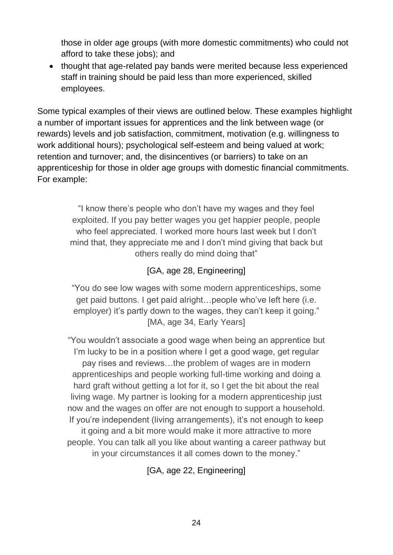those in older age groups (with more domestic commitments) who could not afford to take these jobs); and

• thought that age-related pay bands were merited because less experienced staff in training should be paid less than more experienced, skilled employees.

Some typical examples of their views are outlined below. These examples highlight a number of important issues for apprentices and the link between wage (or rewards) levels and job satisfaction, commitment, motivation (e.g. willingness to work additional hours); psychological self-esteem and being valued at work; retention and turnover; and, the disincentives (or barriers) to take on an apprenticeship for those in older age groups with domestic financial commitments. For example:

> "I know there's people who don't have my wages and they feel exploited. If you pay better wages you get happier people, people who feel appreciated. I worked more hours last week but I don't mind that, they appreciate me and I don't mind giving that back but others really do mind doing that"

#### [GA, age 28, Engineering]

"You do see low wages with some modern apprenticeships, some get paid buttons. I get paid alright…people who've left here (i.e. employer) it's partly down to the wages, they can't keep it going." [MA, age 34, Early Years]

"You wouldn't associate a good wage when being an apprentice but I'm lucky to be in a position where I get a good wage, get regular pay rises and reviews…the problem of wages are in modern apprenticeships and people working full-time working and doing a hard graft without getting a lot for it, so I get the bit about the real living wage. My partner is looking for a modern apprenticeship just now and the wages on offer are not enough to support a household. If you're independent (living arrangements), it's not enough to keep it going and a bit more would make it more attractive to more people. You can talk all you like about wanting a career pathway but in your circumstances it all comes down to the money."

[GA, age 22, Engineering]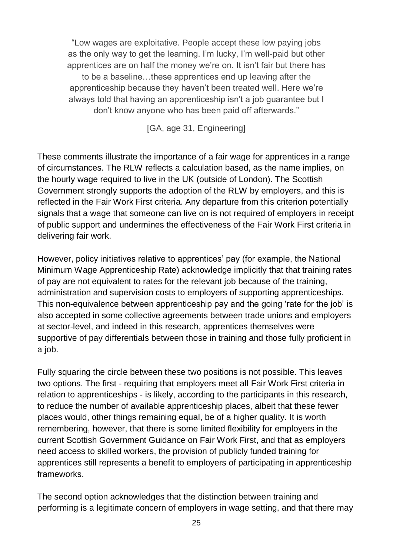"Low wages are exploitative. People accept these low paying jobs as the only way to get the learning. I'm lucky, I'm well-paid but other apprentices are on half the money we're on. It isn't fair but there has to be a baseline…these apprentices end up leaving after the apprenticeship because they haven't been treated well. Here we're always told that having an apprenticeship isn't a job guarantee but I don't know anyone who has been paid off afterwards."

[GA, age 31, Engineering]

These comments illustrate the importance of a fair wage for apprentices in a range of circumstances. The RLW reflects a calculation based, as the name implies, on the hourly wage required to live in the UK (outside of London). The Scottish Government strongly supports the adoption of the RLW by employers, and this is reflected in the Fair Work First criteria. Any departure from this criterion potentially signals that a wage that someone can live on is not required of employers in receipt of public support and undermines the effectiveness of the Fair Work First criteria in delivering fair work.

However, policy initiatives relative to apprentices' pay (for example, the National Minimum Wage Apprenticeship Rate) acknowledge implicitly that that training rates of pay are not equivalent to rates for the relevant job because of the training, administration and supervision costs to employers of supporting apprenticeships. This non-equivalence between apprenticeship pay and the going 'rate for the job' is also accepted in some collective agreements between trade unions and employers at sector-level, and indeed in this research, apprentices themselves were supportive of pay differentials between those in training and those fully proficient in a job.

Fully squaring the circle between these two positions is not possible. This leaves two options. The first - requiring that employers meet all Fair Work First criteria in relation to apprenticeships - is likely, according to the participants in this research, to reduce the number of available apprenticeship places, albeit that these fewer places would, other things remaining equal, be of a higher quality. It is worth remembering, however, that there is some limited flexibility for employers in the current Scottish Government Guidance on Fair Work First, and that as employers need access to skilled workers, the provision of publicly funded training for apprentices still represents a benefit to employers of participating in apprenticeship frameworks.

The second option acknowledges that the distinction between training and performing is a legitimate concern of employers in wage setting, and that there may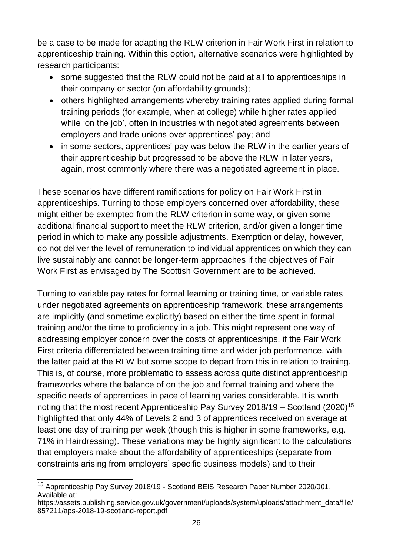be a case to be made for adapting the RLW criterion in Fair Work First in relation to apprenticeship training. Within this option, alternative scenarios were highlighted by research participants:

- some suggested that the RLW could not be paid at all to apprenticeships in their company or sector (on affordability grounds);
- others highlighted arrangements whereby training rates applied during formal training periods (for example, when at college) while higher rates applied while 'on the job', often in industries with negotiated agreements between employers and trade unions over apprentices' pay; and
- in some sectors, apprentices' pay was below the RLW in the earlier years of their apprenticeship but progressed to be above the RLW in later years, again, most commonly where there was a negotiated agreement in place.

These scenarios have different ramifications for policy on Fair Work First in apprenticeships. Turning to those employers concerned over affordability, these might either be exempted from the RLW criterion in some way, or given some additional financial support to meet the RLW criterion, and/or given a longer time period in which to make any possible adjustments. Exemption or delay, however, do not deliver the level of remuneration to individual apprentices on which they can live sustainably and cannot be longer-term approaches if the objectives of Fair Work First as envisaged by The Scottish Government are to be achieved.

Turning to variable pay rates for formal learning or training time, or variable rates under negotiated agreements on apprenticeship framework, these arrangements are implicitly (and sometime explicitly) based on either the time spent in formal training and/or the time to proficiency in a job. This might represent one way of addressing employer concern over the costs of apprenticeships, if the Fair Work First criteria differentiated between training time and wider job performance, with the latter paid at the RLW but some scope to depart from this in relation to training. This is, of course, more problematic to assess across quite distinct apprenticeship frameworks where the balance of on the job and formal training and where the specific needs of apprentices in pace of learning varies considerable. It is worth noting that the most recent Apprenticeship Pay Survey  $2018/19 -$  Scotland (2020)<sup>15</sup> highlighted that only 44% of Levels 2 and 3 of apprentices received on average at least one day of training per week (though this is higher in some frameworks, e.g. 71% in Hairdressing). These variations may be highly significant to the calculations that employers make about the affordability of apprenticeships (separate from constraints arising from employers' specific business models) and to their

 $\overline{a}$ <sup>15</sup> Apprenticeship Pay Survey 2018/19 - Scotland BEIS Research Paper Number 2020/001. Available at:

https://assets.publishing.service.gov.uk/government/uploads/system/uploads/attachment\_data/file/ 857211/aps-2018-19-scotland-report.pdf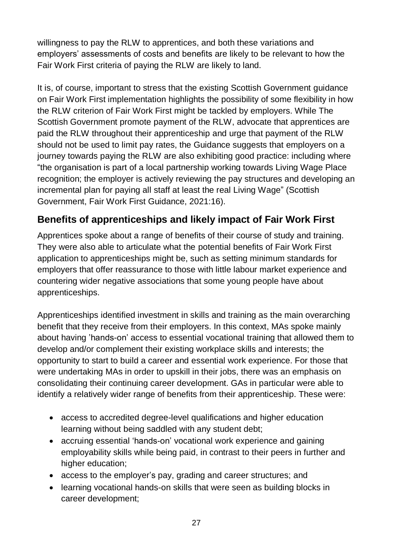willingness to pay the RLW to apprentices, and both these variations and employers' assessments of costs and benefits are likely to be relevant to how the Fair Work First criteria of paying the RLW are likely to land.

It is, of course, important to stress that the existing Scottish Government guidance on Fair Work First implementation highlights the possibility of some flexibility in how the RLW criterion of Fair Work First might be tackled by employers. While The Scottish Government promote payment of the RLW, advocate that apprentices are paid the RLW throughout their apprenticeship and urge that payment of the RLW should not be used to limit pay rates, the Guidance suggests that employers on a journey towards paying the RLW are also exhibiting good practice: including where "the organisation is part of a local partnership working towards Living Wage Place recognition; the employer is actively reviewing the pay structures and developing an incremental plan for paying all staff at least the real Living Wage" (Scottish Government, Fair Work First Guidance, 2021:16).

# <span id="page-27-0"></span>**Benefits of apprenticeships and likely impact of Fair Work First**

Apprentices spoke about a range of benefits of their course of study and training. They were also able to articulate what the potential benefits of Fair Work First application to apprenticeships might be, such as setting minimum standards for employers that offer reassurance to those with little labour market experience and countering wider negative associations that some young people have about apprenticeships.

Apprenticeships identified investment in skills and training as the main overarching benefit that they receive from their employers. In this context, MAs spoke mainly about having 'hands-on' access to essential vocational training that allowed them to develop and/or complement their existing workplace skills and interests; the opportunity to start to build a career and essential work experience. For those that were undertaking MAs in order to upskill in their jobs, there was an emphasis on consolidating their continuing career development. GAs in particular were able to identify a relatively wider range of benefits from their apprenticeship. These were:

- access to accredited degree-level qualifications and higher education learning without being saddled with any student debt;
- accruing essential 'hands-on' vocational work experience and gaining employability skills while being paid, in contrast to their peers in further and higher education;
- access to the employer's pay, grading and career structures; and
- learning vocational hands-on skills that were seen as building blocks in career development;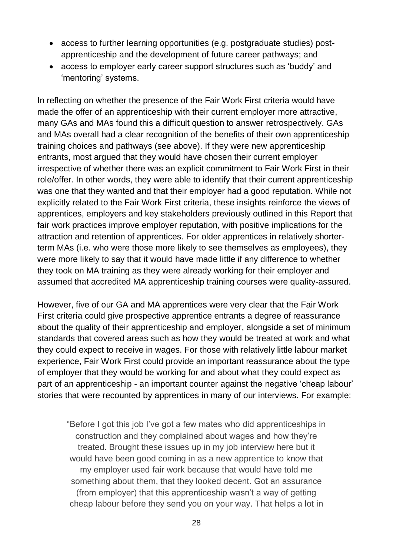- access to further learning opportunities (e.g. postgraduate studies) postapprenticeship and the development of future career pathways; and
- access to employer early career support structures such as 'buddy' and 'mentoring' systems.

In reflecting on whether the presence of the Fair Work First criteria would have made the offer of an apprenticeship with their current employer more attractive, many GAs and MAs found this a difficult question to answer retrospectively. GAs and MAs overall had a clear recognition of the benefits of their own apprenticeship training choices and pathways (see above). If they were new apprenticeship entrants, most argued that they would have chosen their current employer irrespective of whether there was an explicit commitment to Fair Work First in their role/offer. In other words, they were able to identify that their current apprenticeship was one that they wanted and that their employer had a good reputation. While not explicitly related to the Fair Work First criteria, these insights reinforce the views of apprentices, employers and key stakeholders previously outlined in this Report that fair work practices improve employer reputation, with positive implications for the attraction and retention of apprentices. For older apprentices in relatively shorterterm MAs (i.e. who were those more likely to see themselves as employees), they were more likely to say that it would have made little if any difference to whether they took on MA training as they were already working for their employer and assumed that accredited MA apprenticeship training courses were quality-assured.

However, five of our GA and MA apprentices were very clear that the Fair Work First criteria could give prospective apprentice entrants a degree of reassurance about the quality of their apprenticeship and employer, alongside a set of minimum standards that covered areas such as how they would be treated at work and what they could expect to receive in wages. For those with relatively little labour market experience, Fair Work First could provide an important reassurance about the type of employer that they would be working for and about what they could expect as part of an apprenticeship - an important counter against the negative 'cheap labour' stories that were recounted by apprentices in many of our interviews. For example:

"Before I got this job I've got a few mates who did apprenticeships in construction and they complained about wages and how they're treated. Brought these issues up in my job interview here but it would have been good coming in as a new apprentice to know that my employer used fair work because that would have told me something about them, that they looked decent. Got an assurance (from employer) that this apprenticeship wasn't a way of getting cheap labour before they send you on your way. That helps a lot in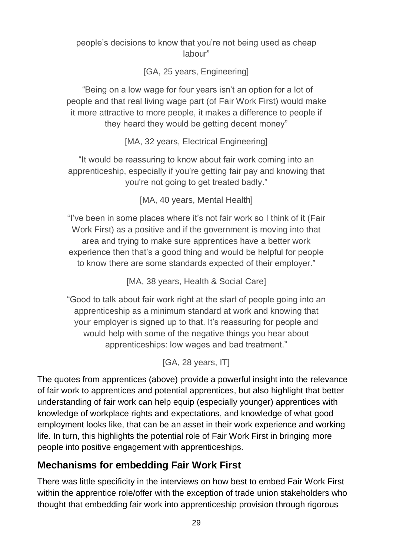people's decisions to know that you're not being used as cheap labour"

[GA, 25 years, Engineering]

"Being on a low wage for four years isn't an option for a lot of people and that real living wage part (of Fair Work First) would make it more attractive to more people, it makes a difference to people if they heard they would be getting decent money"

[MA, 32 years, Electrical Engineering]

"It would be reassuring to know about fair work coming into an apprenticeship, especially if you're getting fair pay and knowing that you're not going to get treated badly."

[MA, 40 years, Mental Health]

"I've been in some places where it's not fair work so I think of it (Fair Work First) as a positive and if the government is moving into that area and trying to make sure apprentices have a better work experience then that's a good thing and would be helpful for people to know there are some standards expected of their employer."

[MA, 38 years, Health & Social Care]

"Good to talk about fair work right at the start of people going into an apprenticeship as a minimum standard at work and knowing that your employer is signed up to that. It's reassuring for people and would help with some of the negative things you hear about apprenticeships: low wages and bad treatment."

[GA, 28 years, IT]

The quotes from apprentices (above) provide a powerful insight into the relevance of fair work to apprentices and potential apprentices, but also highlight that better understanding of fair work can help equip (especially younger) apprentices with knowledge of workplace rights and expectations, and knowledge of what good employment looks like, that can be an asset in their work experience and working life. In turn, this highlights the potential role of Fair Work First in bringing more people into positive engagement with apprenticeships.

# <span id="page-29-0"></span>**Mechanisms for embedding Fair Work First**

There was little specificity in the interviews on how best to embed Fair Work First within the apprentice role/offer with the exception of trade union stakeholders who thought that embedding fair work into apprenticeship provision through rigorous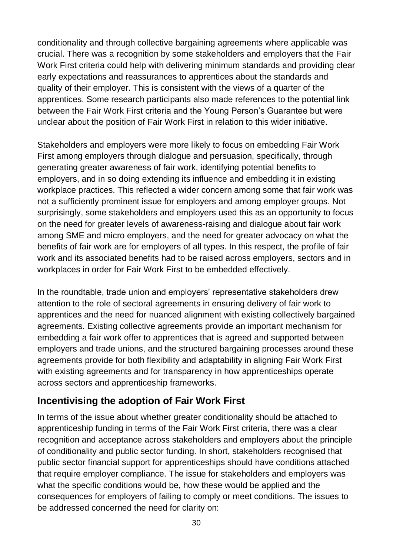conditionality and through collective bargaining agreements where applicable was crucial. There was a recognition by some stakeholders and employers that the Fair Work First criteria could help with delivering minimum standards and providing clear early expectations and reassurances to apprentices about the standards and quality of their employer. This is consistent with the views of a quarter of the apprentices. Some research participants also made references to the potential link between the Fair Work First criteria and the Young Person's Guarantee but were unclear about the position of Fair Work First in relation to this wider initiative.

Stakeholders and employers were more likely to focus on embedding Fair Work First among employers through dialogue and persuasion, specifically, through generating greater awareness of fair work, identifying potential benefits to employers, and in so doing extending its influence and embedding it in existing workplace practices. This reflected a wider concern among some that fair work was not a sufficiently prominent issue for employers and among employer groups. Not surprisingly, some stakeholders and employers used this as an opportunity to focus on the need for greater levels of awareness-raising and dialogue about fair work among SME and micro employers, and the need for greater advocacy on what the benefits of fair work are for employers of all types. In this respect, the profile of fair work and its associated benefits had to be raised across employers, sectors and in workplaces in order for Fair Work First to be embedded effectively.

In the roundtable, trade union and employers' representative stakeholders drew attention to the role of sectoral agreements in ensuring delivery of fair work to apprentices and the need for nuanced alignment with existing collectively bargained agreements. Existing collective agreements provide an important mechanism for embedding a fair work offer to apprentices that is agreed and supported between employers and trade unions, and the structured bargaining processes around these agreements provide for both flexibility and adaptability in aligning Fair Work First with existing agreements and for transparency in how apprenticeships operate across sectors and apprenticeship frameworks.

# <span id="page-30-0"></span>**Incentivising the adoption of Fair Work First**

In terms of the issue about whether greater conditionality should be attached to apprenticeship funding in terms of the Fair Work First criteria, there was a clear recognition and acceptance across stakeholders and employers about the principle of conditionality and public sector funding. In short, stakeholders recognised that public sector financial support for apprenticeships should have conditions attached that require employer compliance. The issue for stakeholders and employers was what the specific conditions would be, how these would be applied and the consequences for employers of failing to comply or meet conditions. The issues to be addressed concerned the need for clarity on: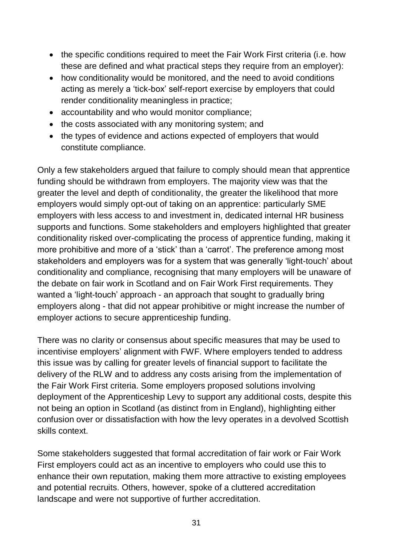- the specific conditions required to meet the Fair Work First criteria (i.e. how these are defined and what practical steps they require from an employer):
- how conditionality would be monitored, and the need to avoid conditions acting as merely a 'tick-box' self-report exercise by employers that could render conditionality meaningless in practice;
- accountability and who would monitor compliance;
- the costs associated with any monitoring system; and
- the types of evidence and actions expected of employers that would constitute compliance.

Only a few stakeholders argued that failure to comply should mean that apprentice funding should be withdrawn from employers. The majority view was that the greater the level and depth of conditionality, the greater the likelihood that more employers would simply opt-out of taking on an apprentice: particularly SME employers with less access to and investment in, dedicated internal HR business supports and functions. Some stakeholders and employers highlighted that greater conditionality risked over-complicating the process of apprentice funding, making it more prohibitive and more of a 'stick' than a 'carrot'. The preference among most stakeholders and employers was for a system that was generally 'light-touch' about conditionality and compliance, recognising that many employers will be unaware of the debate on fair work in Scotland and on Fair Work First requirements. They wanted a 'light-touch' approach - an approach that sought to gradually bring employers along - that did not appear prohibitive or might increase the number of employer actions to secure apprenticeship funding.

There was no clarity or consensus about specific measures that may be used to incentivise employers' alignment with FWF. Where employers tended to address this issue was by calling for greater levels of financial support to facilitate the delivery of the RLW and to address any costs arising from the implementation of the Fair Work First criteria. Some employers proposed solutions involving deployment of the Apprenticeship Levy to support any additional costs, despite this not being an option in Scotland (as distinct from in England), highlighting either confusion over or dissatisfaction with how the levy operates in a devolved Scottish skills context.

Some stakeholders suggested that formal accreditation of fair work or Fair Work First employers could act as an incentive to employers who could use this to enhance their own reputation, making them more attractive to existing employees and potential recruits. Others, however, spoke of a cluttered accreditation landscape and were not supportive of further accreditation.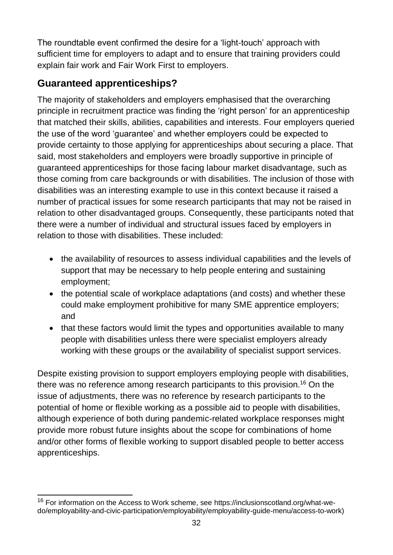The roundtable event confirmed the desire for a 'light-touch' approach with sufficient time for employers to adapt and to ensure that training providers could explain fair work and Fair Work First to employers.

# <span id="page-32-0"></span>**Guaranteed apprenticeships?**

The majority of stakeholders and employers emphasised that the overarching principle in recruitment practice was finding the 'right person' for an apprenticeship that matched their skills, abilities, capabilities and interests. Four employers queried the use of the word 'guarantee' and whether employers could be expected to provide certainty to those applying for apprenticeships about securing a place. That said, most stakeholders and employers were broadly supportive in principle of guaranteed apprenticeships for those facing labour market disadvantage, such as those coming from care backgrounds or with disabilities. The inclusion of those with disabilities was an interesting example to use in this context because it raised a number of practical issues for some research participants that may not be raised in relation to other disadvantaged groups. Consequently, these participants noted that there were a number of individual and structural issues faced by employers in relation to those with disabilities. These included:

- the availability of resources to assess individual capabilities and the levels of support that may be necessary to help people entering and sustaining employment;
- the potential scale of workplace adaptations (and costs) and whether these could make employment prohibitive for many SME apprentice employers; and
- that these factors would limit the types and opportunities available to many people with disabilities unless there were specialist employers already working with these groups or the availability of specialist support services.

Despite existing provision to support employers employing people with disabilities, there was no reference among research participants to this provision.<sup>16</sup> On the issue of adjustments, there was no reference by research participants to the potential of home or flexible working as a possible aid to people with disabilities, although experience of both during pandemic-related workplace responses might provide more robust future insights about the scope for combinations of home and/or other forms of flexible working to support disabled people to better access apprenticeships.

 $\overline{a}$ <sup>16</sup> For information on the Access to Work scheme, see https://inclusionscotland.org/what-wedo/employability-and-civic-participation/employability/employability-guide-menu/access-to-work)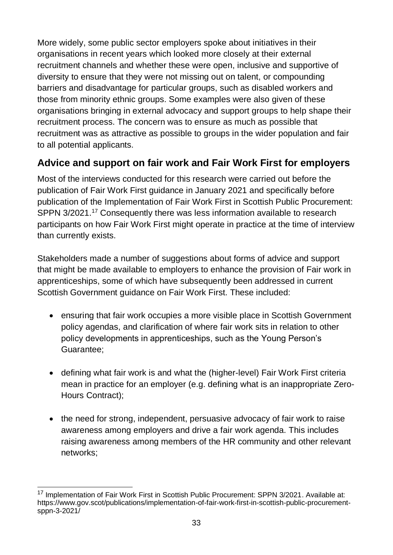More widely, some public sector employers spoke about initiatives in their organisations in recent years which looked more closely at their external recruitment channels and whether these were open, inclusive and supportive of diversity to ensure that they were not missing out on talent, or compounding barriers and disadvantage for particular groups, such as disabled workers and those from minority ethnic groups. Some examples were also given of these organisations bringing in external advocacy and support groups to help shape their recruitment process. The concern was to ensure as much as possible that recruitment was as attractive as possible to groups in the wider population and fair to all potential applicants.

# <span id="page-33-0"></span>**Advice and support on fair work and Fair Work First for employers**

Most of the interviews conducted for this research were carried out before the publication of Fair Work First guidance in January 2021 and specifically before publication of the Implementation of Fair Work First in Scottish Public Procurement: SPPN 3/2021.<sup>17</sup> Consequently there was less information available to research participants on how Fair Work First might operate in practice at the time of interview than currently exists.

Stakeholders made a number of suggestions about forms of advice and support that might be made available to employers to enhance the provision of Fair work in apprenticeships, some of which have subsequently been addressed in current Scottish Government guidance on Fair Work First. These included:

- ensuring that fair work occupies a more visible place in Scottish Government policy agendas, and clarification of where fair work sits in relation to other policy developments in apprenticeships, such as the Young Person's Guarantee;
- defining what fair work is and what the (higher-level) Fair Work First criteria mean in practice for an employer (e.g. defining what is an inappropriate Zero-Hours Contract);
- the need for strong, independent, persuasive advocacy of fair work to raise awareness among employers and drive a fair work agenda. This includes raising awareness among members of the HR community and other relevant networks;

 $\overline{a}$ <sup>17</sup> Implementation of Fair Work First in Scottish Public Procurement: SPPN 3/2021. Available at: https://www.gov.scot/publications/implementation-of-fair-work-first-in-scottish-public-procurementsppn-3-2021/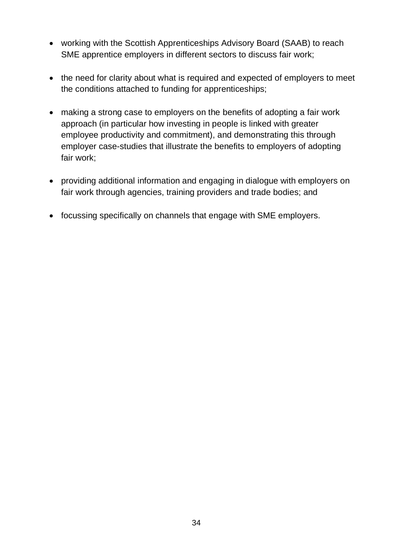- working with the Scottish Apprenticeships Advisory Board (SAAB) to reach SME apprentice employers in different sectors to discuss fair work;
- the need for clarity about what is required and expected of employers to meet the conditions attached to funding for apprenticeships;
- making a strong case to employers on the benefits of adopting a fair work approach (in particular how investing in people is linked with greater employee productivity and commitment), and demonstrating this through employer case-studies that illustrate the benefits to employers of adopting fair work;
- providing additional information and engaging in dialogue with employers on fair work through agencies, training providers and trade bodies; and
- focussing specifically on channels that engage with SME employers.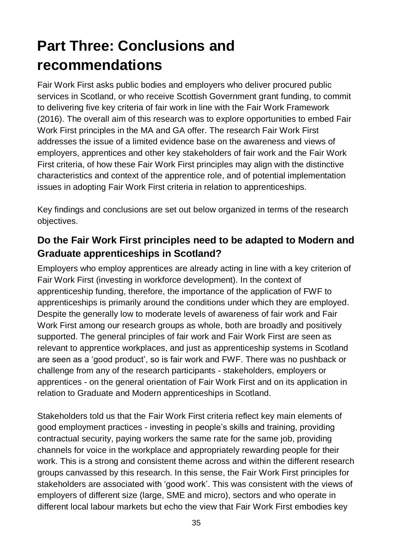# <span id="page-35-0"></span>**Part Three: Conclusions and recommendations**

Fair Work First asks public bodies and employers who deliver procured public services in Scotland, or who receive Scottish Government grant funding, to commit to delivering five key criteria of fair work in line with the Fair Work Framework (2016). The overall aim of this research was to explore opportunities to embed Fair Work First principles in the MA and GA offer. The research Fair Work First addresses the issue of a limited evidence base on the awareness and views of employers, apprentices and other key stakeholders of fair work and the Fair Work First criteria, of how these Fair Work First principles may align with the distinctive characteristics and context of the apprentice role, and of potential implementation issues in adopting Fair Work First criteria in relation to apprenticeships.

Key findings and conclusions are set out below organized in terms of the research objectives.

# <span id="page-35-1"></span>**Do the Fair Work First principles need to be adapted to Modern and Graduate apprenticeships in Scotland?**

Employers who employ apprentices are already acting in line with a key criterion of Fair Work First (investing in workforce development). In the context of apprenticeship funding, therefore, the importance of the application of FWF to apprenticeships is primarily around the conditions under which they are employed. Despite the generally low to moderate levels of awareness of fair work and Fair Work First among our research groups as whole, both are broadly and positively supported. The general principles of fair work and Fair Work First are seen as relevant to apprentice workplaces, and just as apprenticeship systems in Scotland are seen as a 'good product', so is fair work and FWF. There was no pushback or challenge from any of the research participants - stakeholders, employers or apprentices - on the general orientation of Fair Work First and on its application in relation to Graduate and Modern apprenticeships in Scotland.

Stakeholders told us that the Fair Work First criteria reflect key main elements of good employment practices - investing in people's skills and training, providing contractual security, paying workers the same rate for the same job, providing channels for voice in the workplace and appropriately rewarding people for their work. This is a strong and consistent theme across and within the different research groups canvassed by this research. In this sense, the Fair Work First principles for stakeholders are associated with 'good work'. This was consistent with the views of employers of different size (large, SME and micro), sectors and who operate in different local labour markets but echo the view that Fair Work First embodies key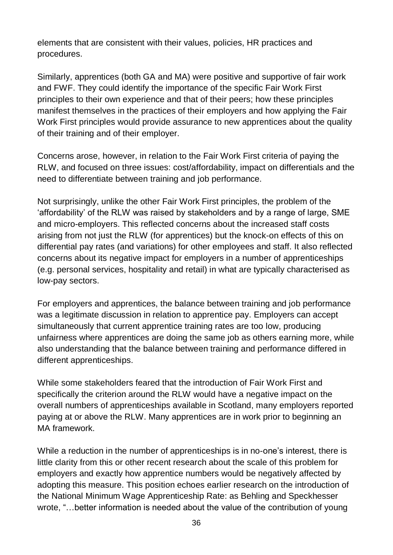elements that are consistent with their values, policies, HR practices and procedures.

Similarly, apprentices (both GA and MA) were positive and supportive of fair work and FWF. They could identify the importance of the specific Fair Work First principles to their own experience and that of their peers; how these principles manifest themselves in the practices of their employers and how applying the Fair Work First principles would provide assurance to new apprentices about the quality of their training and of their employer.

Concerns arose, however, in relation to the Fair Work First criteria of paying the RLW, and focused on three issues: cost/affordability, impact on differentials and the need to differentiate between training and job performance.

Not surprisingly, unlike the other Fair Work First principles, the problem of the 'affordability' of the RLW was raised by stakeholders and by a range of large, SME and micro-employers. This reflected concerns about the increased staff costs arising from not just the RLW (for apprentices) but the knock-on effects of this on differential pay rates (and variations) for other employees and staff. It also reflected concerns about its negative impact for employers in a number of apprenticeships (e.g. personal services, hospitality and retail) in what are typically characterised as low-pay sectors.

For employers and apprentices, the balance between training and job performance was a legitimate discussion in relation to apprentice pay. Employers can accept simultaneously that current apprentice training rates are too low, producing unfairness where apprentices are doing the same job as others earning more, while also understanding that the balance between training and performance differed in different apprenticeships.

While some stakeholders feared that the introduction of Fair Work First and specifically the criterion around the RLW would have a negative impact on the overall numbers of apprenticeships available in Scotland, many employers reported paying at or above the RLW. Many apprentices are in work prior to beginning an MA framework.

While a reduction in the number of apprenticeships is in no-one's interest, there is little clarity from this or other recent research about the scale of this problem for employers and exactly how apprentice numbers would be negatively affected by adopting this measure. This position echoes earlier research on the introduction of the National Minimum Wage Apprenticeship Rate: as Behling and Speckhesser wrote, "…better information is needed about the value of the contribution of young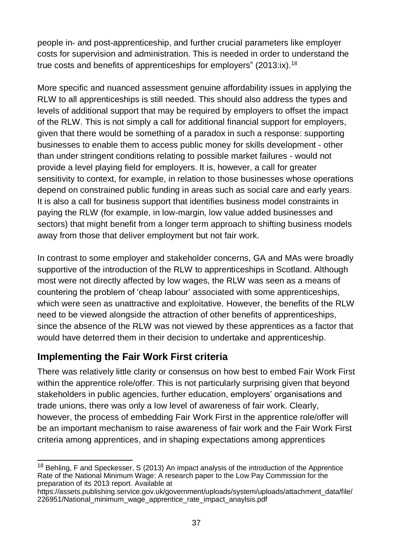people in- and post-apprenticeship, and further crucial parameters like employer costs for supervision and administration. This is needed in order to understand the true costs and benefits of apprenticeships for employers" (2013:ix).<sup>18</sup>

More specific and nuanced assessment genuine affordability issues in applying the RLW to all apprenticeships is still needed. This should also address the types and levels of additional support that may be required by employers to offset the impact of the RLW. This is not simply a call for additional financial support for employers, given that there would be something of a paradox in such a response: supporting businesses to enable them to access public money for skills development - other than under stringent conditions relating to possible market failures - would not provide a level playing field for employers. It is, however, a call for greater sensitivity to context, for example, in relation to those businesses whose operations depend on constrained public funding in areas such as social care and early years. It is also a call for business support that identifies business model constraints in paying the RLW (for example, in low-margin, low value added businesses and sectors) that might benefit from a longer term approach to shifting business models away from those that deliver employment but not fair work.

In contrast to some employer and stakeholder concerns, GA and MAs were broadly supportive of the introduction of the RLW to apprenticeships in Scotland. Although most were not directly affected by low wages, the RLW was seen as a means of countering the problem of 'cheap labour' associated with some apprenticeships, which were seen as unattractive and exploitative. However, the benefits of the RLW need to be viewed alongside the attraction of other benefits of apprenticeships, since the absence of the RLW was not viewed by these apprentices as a factor that would have deterred them in their decision to undertake and apprenticeship.

# <span id="page-37-0"></span>**Implementing the Fair Work First criteria**

There was relatively little clarity or consensus on how best to embed Fair Work First within the apprentice role/offer. This is not particularly surprising given that beyond stakeholders in public agencies, further education, employers' organisations and trade unions, there was only a low level of awareness of fair work. Clearly, however, the process of embedding Fair Work First in the apprentice role/offer will be an important mechanism to raise awareness of fair work and the Fair Work First criteria among apprentices, and in shaping expectations among apprentices

 $\overline{\phantom{a}}$  $18$  Behling, F and Speckesser, S (2013) An impact analysis of the introduction of the Apprentice Rate of the National Minimum Wage: A research paper to the Low Pay Commission for the preparation of its 2013 report. Available at

https://assets.publishing.service.gov.uk/government/uploads/system/uploads/attachment\_data/file/ 226951/National minimum wage apprentice rate impact anaylsis.pdf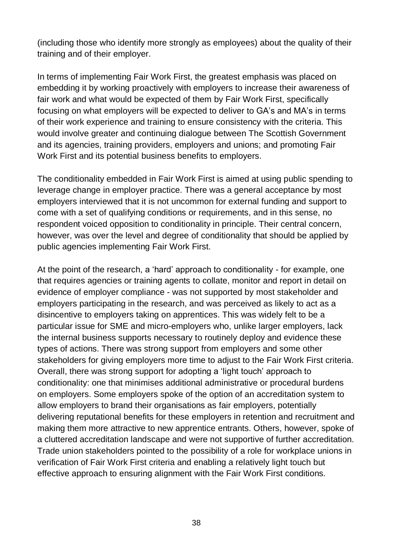(including those who identify more strongly as employees) about the quality of their training and of their employer.

In terms of implementing Fair Work First, the greatest emphasis was placed on embedding it by working proactively with employers to increase their awareness of fair work and what would be expected of them by Fair Work First, specifically focusing on what employers will be expected to deliver to GA's and MA's in terms of their work experience and training to ensure consistency with the criteria. This would involve greater and continuing dialogue between The Scottish Government and its agencies, training providers, employers and unions; and promoting Fair Work First and its potential business benefits to employers.

The conditionality embedded in Fair Work First is aimed at using public spending to leverage change in employer practice. There was a general acceptance by most employers interviewed that it is not uncommon for external funding and support to come with a set of qualifying conditions or requirements, and in this sense, no respondent voiced opposition to conditionality in principle. Their central concern, however, was over the level and degree of conditionality that should be applied by public agencies implementing Fair Work First.

At the point of the research, a 'hard' approach to conditionality - for example, one that requires agencies or training agents to collate, monitor and report in detail on evidence of employer compliance - was not supported by most stakeholder and employers participating in the research, and was perceived as likely to act as a disincentive to employers taking on apprentices. This was widely felt to be a particular issue for SME and micro-employers who, unlike larger employers, lack the internal business supports necessary to routinely deploy and evidence these types of actions. There was strong support from employers and some other stakeholders for giving employers more time to adjust to the Fair Work First criteria. Overall, there was strong support for adopting a 'light touch' approach to conditionality: one that minimises additional administrative or procedural burdens on employers. Some employers spoke of the option of an accreditation system to allow employers to brand their organisations as fair employers, potentially delivering reputational benefits for these employers in retention and recruitment and making them more attractive to new apprentice entrants. Others, however, spoke of a cluttered accreditation landscape and were not supportive of further accreditation. Trade union stakeholders pointed to the possibility of a role for workplace unions in verification of Fair Work First criteria and enabling a relatively light touch but effective approach to ensuring alignment with the Fair Work First conditions.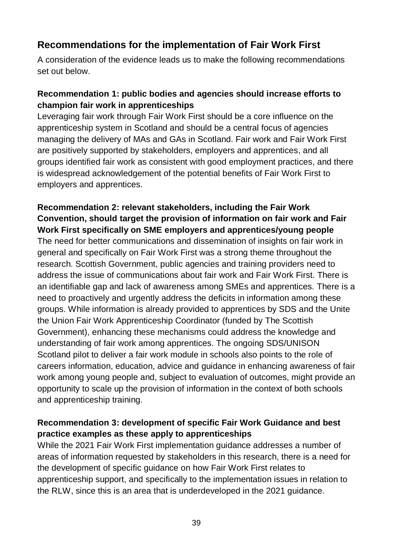### <span id="page-39-0"></span>**Recommendations for the implementation of Fair Work First**

A consideration of the evidence leads us to make the following recommendations set out below.

#### **Recommendation 1: public bodies and agencies should increase efforts to champion fair work in apprenticeships**

Leveraging fair work through Fair Work First should be a core influence on the apprenticeship system in Scotland and should be a central focus of agencies managing the delivery of MAs and GAs in Scotland. Fair work and Fair Work First are positively supported by stakeholders, employers and apprentices, and all groups identified fair work as consistent with good employment practices, and there is widespread acknowledgement of the potential benefits of Fair Work First to employers and apprentices.

#### **Recommendation 2: relevant stakeholders, including the Fair Work Convention, should target the provision of information on fair work and Fair Work First specifically on SME employers and apprentices/young people**

The need for better communications and dissemination of insights on fair work in general and specifically on Fair Work First was a strong theme throughout the research. Scottish Government, public agencies and training providers need to address the issue of communications about fair work and Fair Work First. There is an identifiable gap and lack of awareness among SMEs and apprentices. There is a need to proactively and urgently address the deficits in information among these groups. While information is already provided to apprentices by SDS and the Unite the Union Fair Work Apprenticeship Coordinator (funded by The Scottish Government), enhancing these mechanisms could address the knowledge and understanding of fair work among apprentices. The ongoing SDS/UNISON Scotland pilot to deliver a fair work module in schools also points to the role of careers information, education, advice and guidance in enhancing awareness of fair work among young people and, subject to evaluation of outcomes, might provide an opportunity to scale up the provision of information in the context of both schools and apprenticeship training.

#### **Recommendation 3: development of specific Fair Work Guidance and best practice examples as these apply to apprenticeships**

While the 2021 Fair Work First implementation guidance addresses a number of areas of information requested by stakeholders in this research, there is a need for the development of specific guidance on how Fair Work First relates to apprenticeship support, and specifically to the implementation issues in relation to the RLW, since this is an area that is underdeveloped in the 2021 guidance.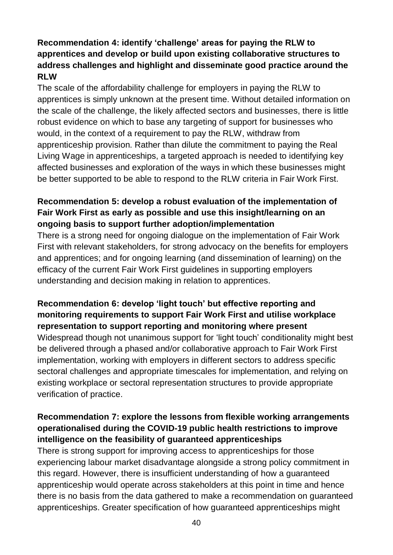#### **Recommendation 4: identify 'challenge' areas for paying the RLW to apprentices and develop or build upon existing collaborative structures to address challenges and highlight and disseminate good practice around the RLW**

The scale of the affordability challenge for employers in paying the RLW to apprentices is simply unknown at the present time. Without detailed information on the scale of the challenge, the likely affected sectors and businesses, there is little robust evidence on which to base any targeting of support for businesses who would, in the context of a requirement to pay the RLW, withdraw from apprenticeship provision. Rather than dilute the commitment to paying the Real Living Wage in apprenticeships, a targeted approach is needed to identifying key affected businesses and exploration of the ways in which these businesses might be better supported to be able to respond to the RLW criteria in Fair Work First.

#### **Recommendation 5: develop a robust evaluation of the implementation of Fair Work First as early as possible and use this insight/learning on an ongoing basis to support further adoption/implementation**

There is a strong need for ongoing dialogue on the implementation of Fair Work First with relevant stakeholders, for strong advocacy on the benefits for employers and apprentices; and for ongoing learning (and dissemination of learning) on the efficacy of the current Fair Work First guidelines in supporting employers understanding and decision making in relation to apprentices.

#### **Recommendation 6: develop 'light touch' but effective reporting and monitoring requirements to support Fair Work First and utilise workplace representation to support reporting and monitoring where present**

Widespread though not unanimous support for 'light touch' conditionality might best be delivered through a phased and/or collaborative approach to Fair Work First implementation, working with employers in different sectors to address specific sectoral challenges and appropriate timescales for implementation, and relying on existing workplace or sectoral representation structures to provide appropriate verification of practice.

#### **Recommendation 7: explore the lessons from flexible working arrangements operationalised during the COVID-19 public health restrictions to improve intelligence on the feasibility of guaranteed apprenticeships**

There is strong support for improving access to apprenticeships for those experiencing labour market disadvantage alongside a strong policy commitment in this regard. However, there is insufficient understanding of how a guaranteed apprenticeship would operate across stakeholders at this point in time and hence there is no basis from the data gathered to make a recommendation on guaranteed apprenticeships. Greater specification of how guaranteed apprenticeships might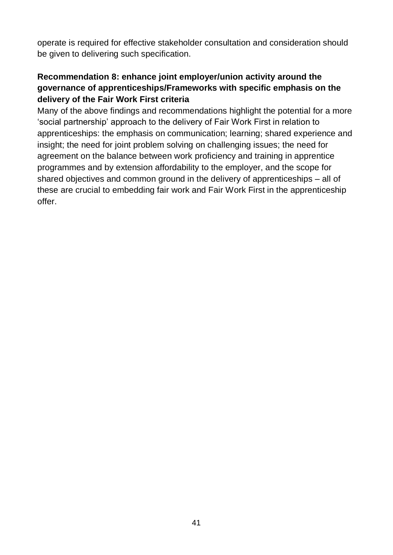operate is required for effective stakeholder consultation and consideration should be given to delivering such specification.

#### **Recommendation 8: enhance joint employer/union activity around the governance of apprenticeships/Frameworks with specific emphasis on the delivery of the Fair Work First criteria**

Many of the above findings and recommendations highlight the potential for a more 'social partnership' approach to the delivery of Fair Work First in relation to apprenticeships: the emphasis on communication; learning; shared experience and insight; the need for joint problem solving on challenging issues; the need for agreement on the balance between work proficiency and training in apprentice programmes and by extension affordability to the employer, and the scope for shared objectives and common ground in the delivery of apprenticeships – all of these are crucial to embedding fair work and Fair Work First in the apprenticeship offer.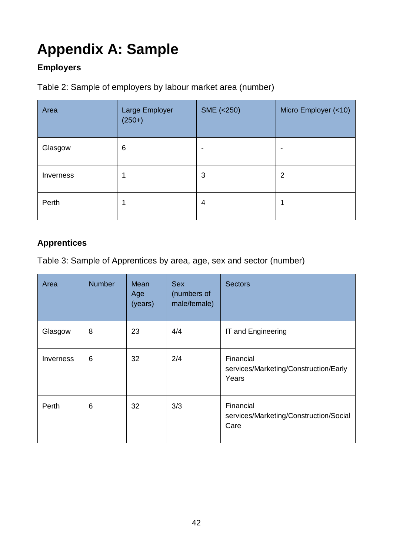# <span id="page-42-0"></span>**Appendix A: Sample**

#### **Employers**

Table 2: Sample of employers by labour market area (number)

| Area      | Large Employer<br>$(250+)$ | SME (<250) | Micro Employer (<10) |
|-----------|----------------------------|------------|----------------------|
| Glasgow   | 6                          | -          | $\,$                 |
| Inverness |                            | 3          | $\overline{2}$       |
| Perth     |                            | 4          | ٠                    |

### **Apprentices**

Table 3: Sample of Apprentices by area, age, sex and sector (number)

| Area                           | <b>Number</b> | Mean<br>Age<br>(years) | <b>Sex</b><br>(numbers of<br>male/female) | <b>Sectors</b>                                              |
|--------------------------------|---------------|------------------------|-------------------------------------------|-------------------------------------------------------------|
| Glasgow                        | 8             | 23                     | 4/4                                       | IT and Engineering                                          |
| <i><u><b>Inverness</b></u></i> | 6             | 32                     | 2/4                                       | Financial<br>services/Marketing/Construction/Early<br>Years |
| Perth                          | 6             | 32                     | 3/3                                       | Financial<br>services/Marketing/Construction/Social<br>Care |